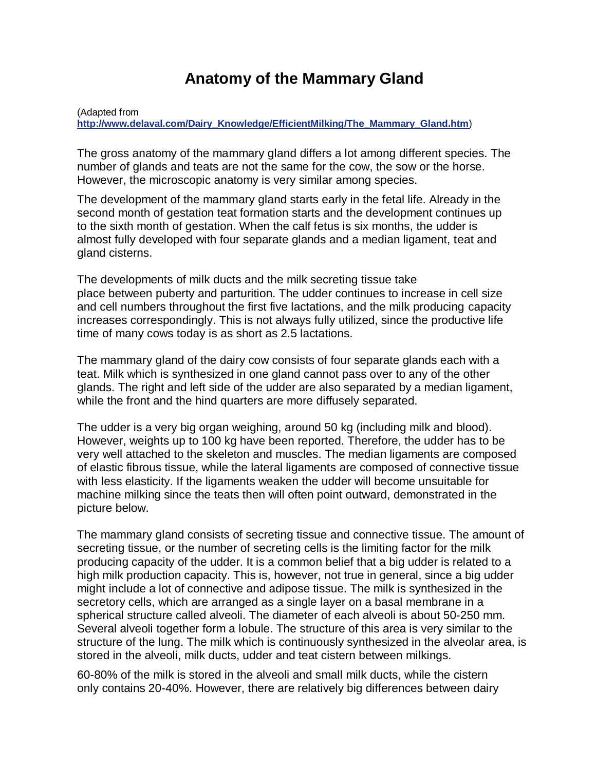## **Anatomy of the Mammary Gland**

(Adapted from

**[http://www.delaval.com/Dairy\\_Knowledge/EfficientMilking/The\\_Mammary\\_Gland.htm](http://www.delaval.com/Dairy_Knowledge/EfficientMilking/The_Mammary_Gland.htm)**)

The gross anatomy of the mammary gland differs a lot among different species. The number of glands and teats are not the same for the cow, the sow or the horse. However, the microscopic anatomy is very similar among species.

The development of the mammary gland starts early in the fetal life. Already in the second month of gestation teat formation starts and the development continues up to the sixth month of gestation. When the calf fetus is six months, the udder is almost fully developed with four separate glands and a median ligament, teat and gland cisterns.

The developments of milk ducts and the milk secreting tissue take place between puberty and parturition. The udder continues to increase in cell size and cell numbers throughout the first five lactations, and the milk producing capacity increases correspondingly. This is not always fully utilized, since the productive life time of many cows today is as short as 2.5 lactations.

The mammary gland of the dairy cow consists of four separate glands each with a teat. Milk which is synthesized in one gland cannot pass over to any of the other glands. The right and left side of the udder are also separated by a median ligament, while the front and the hind quarters are more diffusely separated.

The udder is a very big organ weighing, around 50 kg (including milk and blood). However, weights up to 100 kg have been reported. Therefore, the udder has to be very well attached to the skeleton and muscles. The median ligaments are composed of elastic fibrous tissue, while the lateral ligaments are composed of connective tissue with less elasticity. If the ligaments weaken the udder will become unsuitable for machine milking since the teats then will often point outward, demonstrated in the picture below.

The mammary gland consists of secreting tissue and connective tissue. The amount of secreting tissue, or the number of secreting cells is the limiting factor for the milk producing capacity of the udder. It is a common belief that a big udder is related to a high milk production capacity. This is, however, not true in general, since a big udder might include a lot of connective and adipose tissue. The milk is synthesized in the secretory cells, which are arranged as a single layer on a basal membrane in a spherical structure called alveoli. The diameter of each alveoli is about 50-250 mm. Several alveoli together form a lobule. The structure of this area is very similar to the structure of the lung. The milk which is continuously synthesized in the alveolar area, is stored in the alveoli, milk ducts, udder and teat cistern between milkings.

60-80% of the milk is stored in the alveoli and small milk ducts, while the cistern only contains 20-40%. However, there are relatively big differences between dairy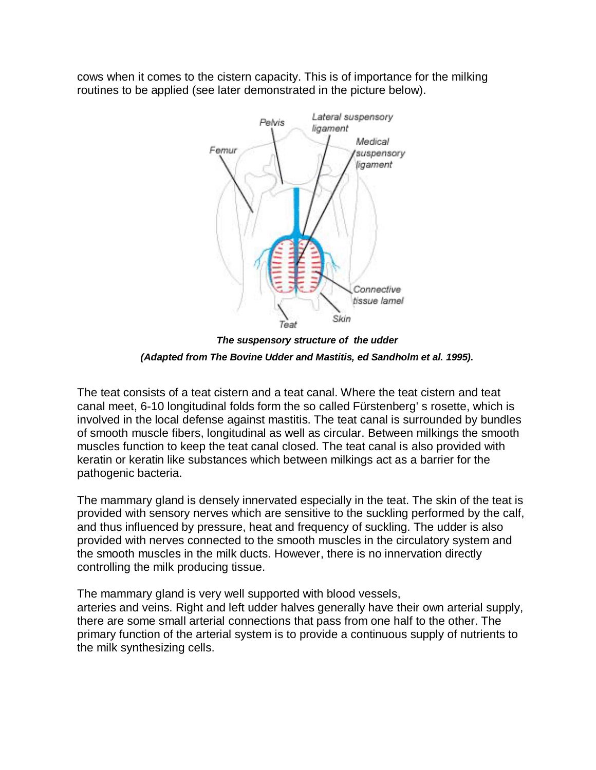cows when it comes to the cistern capacity. This is of importance for the milking routines to be applied (see later demonstrated in the picture below).



*The suspensory structure of the udder*

*(Adapted from The Bovine Udder and Mastitis, ed Sandholm et al. 1995).*

The teat consists of a teat cistern and a teat canal. Where the teat cistern and teat canal meet, 6-10 longitudinal folds form the so called Fürstenberg' s rosette, which is involved in the local defense against mastitis. The teat canal is surrounded by bundles of smooth muscle fibers, longitudinal as well as circular. Between milkings the smooth muscles function to keep the teat canal closed. The teat canal is also provided with keratin or keratin like substances which between milkings act as a barrier for the pathogenic bacteria.

The mammary gland is densely innervated especially in the teat. The skin of the teat is provided with sensory nerves which are sensitive to the suckling performed by the calf, and thus influenced by pressure, heat and frequency of suckling. The udder is also provided with nerves connected to the smooth muscles in the circulatory system and the smooth muscles in the milk ducts. However, there is no innervation directly controlling the milk producing tissue.

The mammary gland is very well supported with blood vessels, arteries and veins. Right and left udder halves generally have their own arterial supply,

there are some small arterial connections that pass from one half to the other. The primary function of the arterial system is to provide a continuous supply of nutrients to the milk synthesizing cells.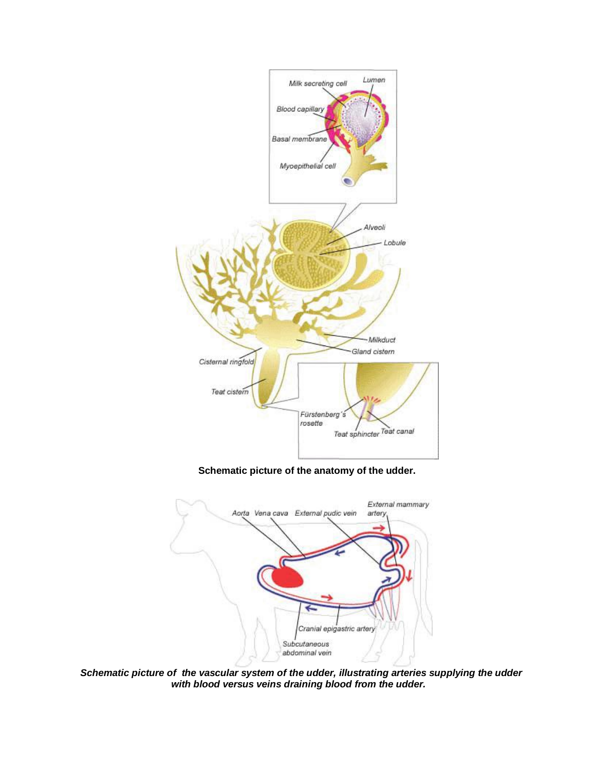

**Schematic picture of the anatomy of the udder.**



*Schematic picture of the vascular system of the udder, illustrating arteries supplying the udder with blood versus veins draining blood from the udder.*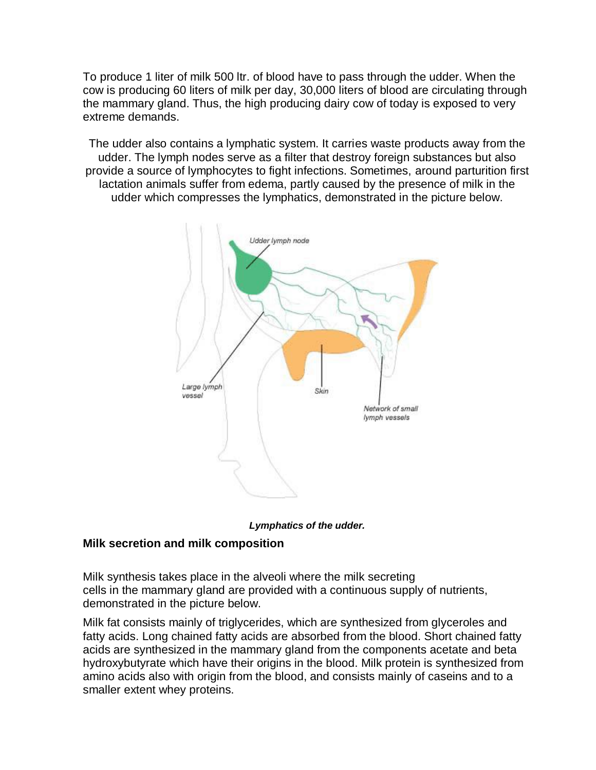To produce 1 liter of milk 500 ltr. of blood have to pass through the udder. When the cow is producing 60 liters of milk per day, 30,000 liters of blood are circulating through the mammary gland. Thus, the high producing dairy cow of today is exposed to very extreme demands.

The udder also contains a lymphatic system. It carries waste products away from the udder. The lymph nodes serve as a filter that destroy foreign substances but also provide a source of lymphocytes to fight infections. Sometimes, around parturition first lactation animals suffer from edema, partly caused by the presence of milk in the udder which compresses the lymphatics, demonstrated in the picture below.





## **Milk secretion and milk composition**

Milk synthesis takes place in the alveoli where the milk secreting cells in the mammary gland are provided with a continuous supply of nutrients, demonstrated in the picture below.

Milk fat consists mainly of triglycerides, which are synthesized from glyceroles and fatty acids. Long chained fatty acids are absorbed from the blood. Short chained fatty acids are synthesized in the mammary gland from the components acetate and beta hydroxybutyrate which have their origins in the blood. Milk protein is synthesized from amino acids also with origin from the blood, and consists mainly of caseins and to a smaller extent whey proteins.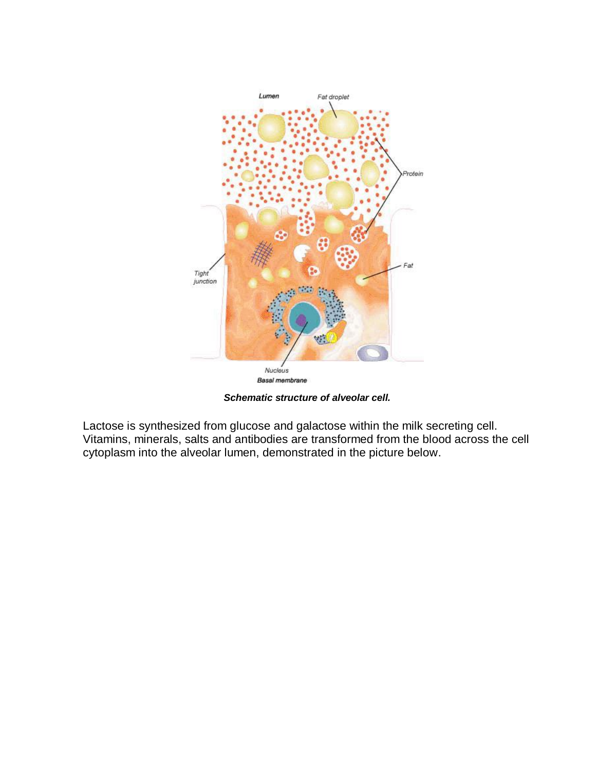

*Schematic structure of alveolar cell.*

Lactose is synthesized from glucose and galactose within the milk secreting cell. Vitamins, minerals, salts and antibodies are transformed from the blood across the cell cytoplasm into the alveolar lumen, demonstrated in the picture below.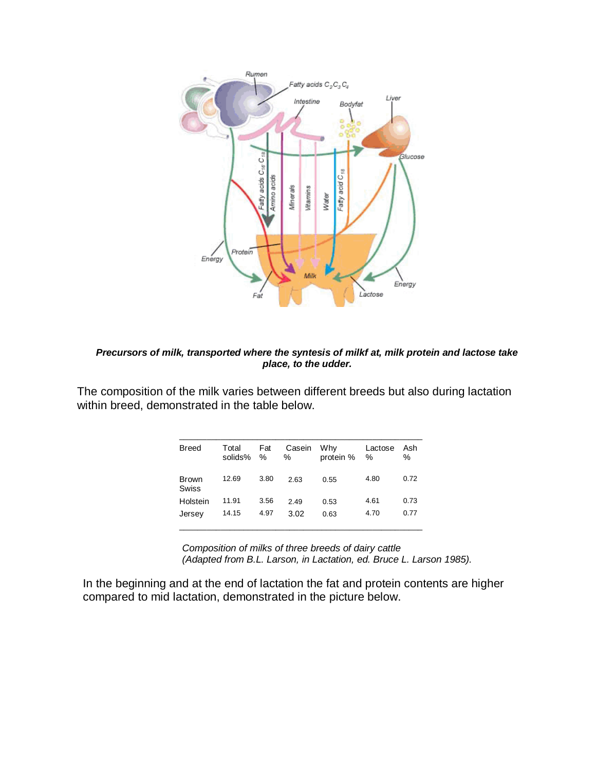

## *Precursors of milk, transported where the syntesis of milkf at, milk protein and lactose take place, to the udder.*

The composition of the milk varies between different breeds but also during lactation within breed, demonstrated in the table below.

| <b>Breed</b>   | Total<br>solids% | Fat<br>$\%$ | Casein<br>% | Why<br>protein % | Lactose<br>$\%$ | Ash<br>$\%$ |
|----------------|------------------|-------------|-------------|------------------|-----------------|-------------|
| Brown<br>Swiss | 12.69            | 3.80        | 2.63        | 0.55             | 4.80            | 0.72        |
| Holstein       | 11.91            | 3.56        | 2.49        | 0.53             | 4.61            | 0.73        |
| Jersey         | 14.15            | 4.97        | 3.02        | 0.63             | 4.70            | 0.77        |

*Composition of milks of three breeds of dairy cattle (Adapted from B.L. Larson, in Lactation, ed. Bruce L. Larson 1985).*

In the beginning and at the end of lactation the fat and protein contents are higher compared to mid lactation, demonstrated in the picture below.